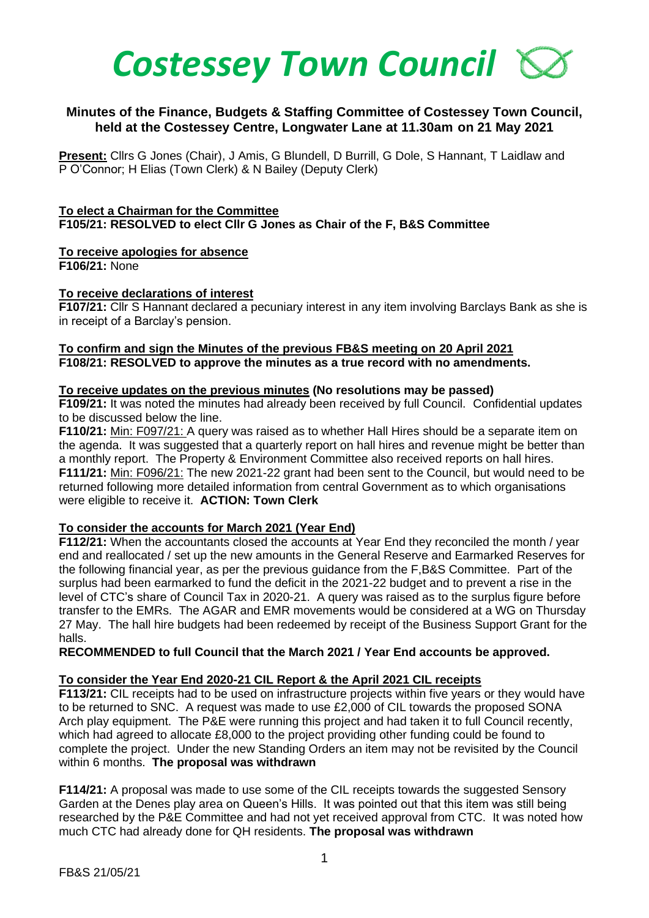

## **Minutes of the Finance, Budgets & Staffing Committee of Costessey Town Council, held at the Costessey Centre, Longwater Lane at 11.30am on 21 May 2021**

**Present:** Cllrs G Jones (Chair), J Amis, G Blundell, D Burrill, G Dole, S Hannant, T Laidlaw and P O'Connor; H Elias (Town Clerk) & N Bailey (Deputy Clerk)

#### **To elect a Chairman for the Committee F105/21: RESOLVED to elect Cllr G Jones as Chair of the F, B&S Committee**

# **To receive apologies for absence**

**F106/21:** None

## **To receive declarations of interest**

**F107/21:** Cllr S Hannant declared a pecuniary interest in any item involving Barclays Bank as she is in receipt of a Barclay's pension.

## **To confirm and sign the Minutes of the previous FB&S meeting on 20 April 2021 F108/21: RESOLVED to approve the minutes as a true record with no amendments.**

#### **To receive updates on the previous minutes (No resolutions may be passed)**

**F109/21:** It was noted the minutes had already been received by full Council. Confidential updates to be discussed below the line.

**F110/21:** Min: F097/21: A query was raised as to whether Hall Hires should be a separate item on the agenda. It was suggested that a quarterly report on hall hires and revenue might be better than a monthly report. The Property & Environment Committee also received reports on hall hires. **F111/21:** Min: F096/21: The new 2021-22 grant had been sent to the Council, but would need to be returned following more detailed information from central Government as to which organisations were eligible to receive it. **ACTION: Town Clerk**

## **To consider the accounts for March 2021 (Year End)**

**F112/21:** When the accountants closed the accounts at Year End they reconciled the month / year end and reallocated / set up the new amounts in the General Reserve and Earmarked Reserves for the following financial year, as per the previous guidance from the F,B&S Committee. Part of the surplus had been earmarked to fund the deficit in the 2021-22 budget and to prevent a rise in the level of CTC's share of Council Tax in 2020-21. A query was raised as to the surplus figure before transfer to the EMRs. The AGAR and EMR movements would be considered at a WG on Thursday 27 May. The hall hire budgets had been redeemed by receipt of the Business Support Grant for the halls.

#### **RECOMMENDED to full Council that the March 2021 / Year End accounts be approved.**

## **To consider the Year End 2020-21 CIL Report & the April 2021 CIL receipts**

**F113/21:** CIL receipts had to be used on infrastructure projects within five years or they would have to be returned to SNC. A request was made to use £2,000 of CIL towards the proposed SONA Arch play equipment. The P&E were running this project and had taken it to full Council recently, which had agreed to allocate £8,000 to the project providing other funding could be found to complete the project. Under the new Standing Orders an item may not be revisited by the Council within 6 months. **The proposal was withdrawn**

**F114/21:** A proposal was made to use some of the CIL receipts towards the suggested Sensory Garden at the Denes play area on Queen's Hills. It was pointed out that this item was still being researched by the P&E Committee and had not yet received approval from CTC. It was noted how much CTC had already done for QH residents. **The proposal was withdrawn**